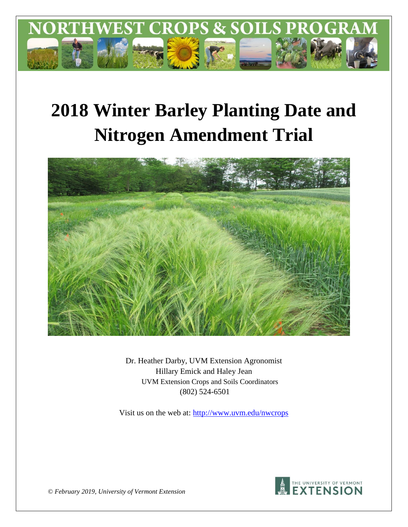

# **2018 Winter Barley Planting Date and Nitrogen Amendment Trial**



Dr. Heather Darby, UVM Extension Agronomist Hillary Emick and Haley Jean UVM Extension Crops and Soils Coordinators (802) 524-6501

Visit us on the web at: http://www.uvm.edu/nwcrops



© *February 2019, University of Vermont Extension*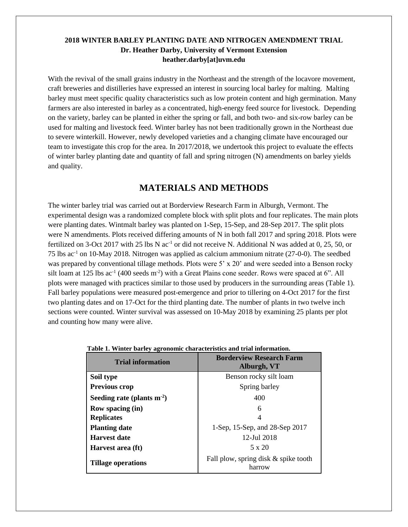#### **2018 WINTER BARLEY PLANTING DATE AND NITROGEN AMENDMENT TRIAL Dr. Heather Darby, University of Vermont Extension heather.darby[at]uvm.edu**

With the revival of the small grains industry in the Northeast and the strength of the locavore movement, craft breweries and distilleries have expressed an interest in sourcing local barley for malting. Malting barley must meet specific quality characteristics such as low protein content and high germination. Many farmers are also interested in barley as a concentrated, high-energy feed source for livestock. Depending on the variety, barley can be planted in either the spring or fall, and both two- and six-row barley can be used for malting and livestock feed. Winter barley has not been traditionally grown in the Northeast due to severe winterkill. However, newly developed varieties and a changing climate have encouraged our team to investigate this crop for the area. In 2017/2018, we undertook this project to evaluate the effects of winter barley planting date and quantity of fall and spring nitrogen (N) amendments on barley yields and quality.

## **MATERIALS AND METHODS**

The winter barley trial was carried out at Borderview Research Farm in Alburgh, Vermont. The experimental design was a randomized complete block with split plots and four replicates. The main plots were planting dates. Wintmalt barley was planted on 1-Sep, 15-Sep, and 28-Sep 2017. The split plots were N amendments. Plots received differing amounts of N in both fall 2017 and spring 2018. Plots were fertilized on 3-Oct 2017 with 25 lbs N ac<sup>-1</sup> or did not receive N. Additional N was added at 0, 25, 50, or 75 lbs  $ac^{-1}$  on 10-May 2018. Nitrogen was applied as calcium ammonium nitrate (27-0-0). The seedbed was prepared by conventional tillage methods. Plots were 5' x 20' and were seeded into a Benson rocky silt loam at 125 lbs  $ac^{-1}$  (400 seeds m<sup>-2</sup>) with a Great Plains cone seeder. Rows were spaced at 6". All plots were managed with practices similar to those used by producers in the surrounding areas (Table 1). Fall barley populations were measured post-emergence and prior to tillering on 4-Oct 2017 for the first two planting dates and on 17-Oct for the third planting date. The number of plants in two twelve inch sections were counted. Winter survival was assessed on 10-May 2018 by examining 25 plants per plot and counting how many were alive.

| <b>Trial information</b>     | <b>Borderview Research Farm</b><br>Alburgh, VT |  |  |  |
|------------------------------|------------------------------------------------|--|--|--|
| Soil type                    | Benson rocky silt loam                         |  |  |  |
| Previous crop                | Spring barley                                  |  |  |  |
| Seeding rate (plants $m-2$ ) | 400                                            |  |  |  |
| <b>Row spacing (in)</b>      | 6                                              |  |  |  |
| <b>Replicates</b>            | 4                                              |  |  |  |
| <b>Planting date</b>         | 1-Sep, 15-Sep, and 28-Sep 2017                 |  |  |  |
| Harvest date                 | 12-Jul 2018                                    |  |  |  |
| Harvest area (ft)            | $5 \times 20$                                  |  |  |  |
| <b>Tillage operations</b>    | Fall plow, spring disk & spike tooth<br>harrow |  |  |  |

|  |  |  |  |  |  | Table 1. Winter barley agronomic characteristics and trial information. |  |  |  |
|--|--|--|--|--|--|-------------------------------------------------------------------------|--|--|--|
|--|--|--|--|--|--|-------------------------------------------------------------------------|--|--|--|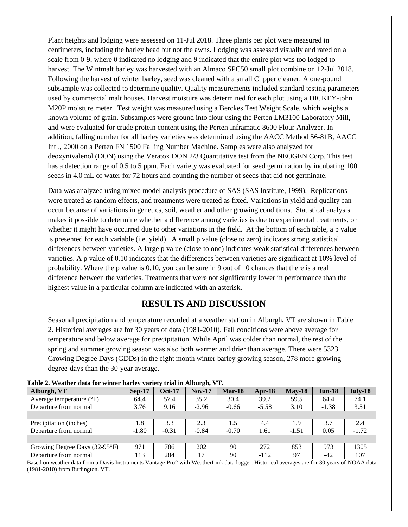Plant heights and lodging were assessed on 11-Jul 2018. Three plants per plot were measured in centimeters, including the barley head but not the awns. Lodging was assessed visually and rated on a scale from 0-9, where 0 indicated no lodging and 9 indicated that the entire plot was too lodged to harvest. The Wintmalt barley was harvested with an Almaco SPC50 small plot combine on 12-Jul 2018. Following the harvest of winter barley, seed was cleaned with a small Clipper cleaner. A one-pound subsample was collected to determine quality. Quality measurements included standard testing parameters used by commercial malt houses. Harvest moisture was determined for each plot using a DICKEY-john M20P moisture meter. Test weight was measured using a Berckes Test Weight Scale, which weighs a known volume of grain. Subsamples were ground into flour using the Perten LM3100 Laboratory Mill, and were evaluated for crude protein content using the Perten Inframatic 8600 Flour Analyzer. In addition, falling number for all barley varieties was determined using the AACC Method 56-81B, AACC Intl., 2000 on a Perten FN 1500 Falling Number Machine. Samples were also analyzed for deoxynivalenol (DON) using the Veratox DON 2/3 Quantitative test from the NEOGEN Corp. This test has a detection range of 0.5 to 5 ppm. Each variety was evaluated for seed germination by incubating 100 seeds in 4.0 mL of water for 72 hours and counting the number of seeds that did not germinate.

Data was analyzed using mixed model analysis procedure of SAS (SAS Institute, 1999). Replications were treated as random effects, and treatments were treated as fixed. Variations in yield and quality can occur because of variations in genetics, soil, weather and other growing conditions. Statistical analysis makes it possible to determine whether a difference among varieties is due to experimental treatments, or whether it might have occurred due to other variations in the field. At the bottom of each table, a p value is presented for each variable (i.e. yield). A small p value (close to zero) indicates strong statistical differences between varieties. A large p value (close to one) indicates weak statistical differences between varieties. A p value of 0.10 indicates that the differences between varieties are significant at 10% level of probability. Where the p value is 0.10, you can be sure in 9 out of 10 chances that there is a real difference between the varieties. Treatments that were not significantly lower in performance than the highest value in a particular column are indicated with an asterisk.

### **RESULTS AND DISCUSSION**

Seasonal precipitation and temperature recorded at a weather station in Alburgh, VT are shown in Table 2. Historical averages are for 30 years of data (1981-2010). Fall conditions were above average for temperature and below average for precipitation. While April was colder than normal, the rest of the spring and summer growing season was also both warmer and drier than average. There were 5323 Growing Degree Days (GDDs) in the eight month winter barley growing season, 278 more growingdegree-days than the 30-year average.

| THOICE, A CHAINT GHAM TOT A THREE DAILY! THIRD'S AT HITTING CHE I T |          |               |          |               |          |          |          |         |
|---------------------------------------------------------------------|----------|---------------|----------|---------------|----------|----------|----------|---------|
| Alburgh, VT                                                         | $Sep-17$ | <b>Oct-17</b> | $Nov-17$ | <b>Mar-18</b> | $Arr-18$ | $May-18$ | $Jun-18$ | July-18 |
| Average temperature $(^{\circ}F)$                                   | 64.4     | 57.4          | 35.2     | 30.4          | 39.2     | 59.5     | 64.4     | 74.1    |
| Departure from normal                                               | 3.76     | 9.16          | $-2.96$  | $-0.66$       | $-5.58$  | 3.10     | $-1.38$  | 3.51    |
|                                                                     |          |               |          |               |          |          |          |         |
| Precipitation (inches)                                              | 1.8      | 3.3           | 2.3      | 1.5           | 4.4      | 1.9      | 3.7      | 2.4     |
| Departure from normal                                               | $-1.80$  | $-0.31$       | $-0.84$  | $-0.70$       | 1.61     | $-1.51$  | 0.05     | $-1.72$ |
|                                                                     |          |               |          |               |          |          |          |         |
| Growing Degree Days (32-95°F)                                       | 971      | 786           | 202      | 90            | 272      | 853      | 973      | 1305    |
| Departure from normal                                               | .13      | 284           | 17       | 90            | $-112$   | 97       | $-42$    | 107     |

**Table 2. Weather data for winter barley variety trial in Alburgh, VT.**

Based on weather data from a Davis Instruments Vantage Pro2 with WeatherLink data logger. Historical averages are for 30 years of NOAA data (1981-2010) from Burlington, VT.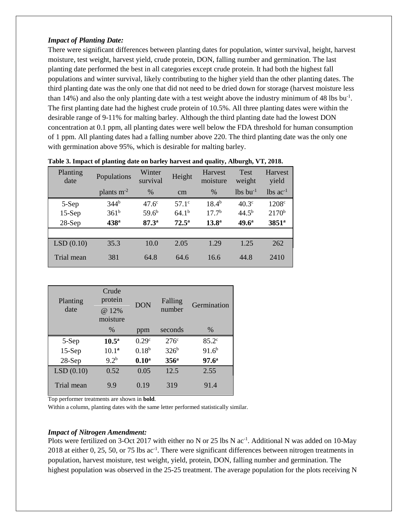#### *Impact of Planting Date:*

There were significant differences between planting dates for population, winter survival, height, harvest moisture, test weight, harvest yield, crude protein, DON, falling number and germination. The last planting date performed the best in all categories except crude protein. It had both the highest fall populations and winter survival, likely contributing to the higher yield than the other planting dates. The third planting date was the only one that did not need to be dried down for storage (harvest moisture less than 14%) and also the only planting date with a test weight above the industry minimum of 48 lbs bu<sup>-1</sup>. The first planting date had the highest crude protein of 10.5%. All three planting dates were within the desirable range of 9-11% for malting barley. Although the third planting date had the lowest DON concentration at 0.1 ppm, all planting dates were well below the FDA threshold for human consumption of 1 ppm. All planting dates had a falling number above 220. The third planting date was the only one with germination above 95%, which is desirable for malting barley.

| Planting<br>date | Populations      | Winter<br>survival | Height         | Harvest<br>moisture | Test<br>weight         | <b>Harvest</b><br>yield |
|------------------|------------------|--------------------|----------------|---------------------|------------------------|-------------------------|
|                  | plants $m-2$     | %                  | cm             | $\%$                | $lbs$ bu <sup>-1</sup> | $lbs$ ac <sup>-1</sup>  |
| 5-Sep            | 344 <sup>b</sup> | $47.6^\circ$       | $57.1^{\circ}$ | $18.4^{b}$          | $40.3^\circ$           | 1208 <sup>c</sup>       |
| $15-Sep$         | 361 <sup>b</sup> | 59.6 <sup>b</sup>  | $64.1^{b}$     | 17.7 <sup>b</sup>   | $44.5^{b}$             | $2170^{\rm b}$          |
| $28-Sep$         | 438 <sup>a</sup> | 87.3 <sup>a</sup>  | $72.5^{\rm a}$ | 13.8 <sup>a</sup>   | 49.6 <sup>a</sup>      | 3851 <sup>a</sup>       |
|                  |                  |                    |                |                     |                        |                         |
| LSD(0.10)        | 35.3             | 10.0               | 2.05           | 1.29                | 1.25                   | 262                     |
| Trial mean       | 381              | 64.8               | 64.6           | 16.6                | 44.8                   | 2410                    |

|  |  | Table 3. Impact of planting date on barley harvest and quality, Alburgh, VT, 2018. |  |  |
|--|--|------------------------------------------------------------------------------------|--|--|
|--|--|------------------------------------------------------------------------------------|--|--|

| Planting<br>date | Crude<br>protein<br>@ 12%<br>moisture | <b>DON</b>        | Falling<br>number | Germination       |
|------------------|---------------------------------------|-------------------|-------------------|-------------------|
|                  | $\frac{0}{0}$                         | ppm               | seconds           | $\%$              |
| 5-Sep            | $10.5^{\rm a}$                        | 0.29 <sup>c</sup> | $276^\circ$       | $85.2^\circ$      |
| $15-Sep$         | $10.1^a$                              | $0.18^{b}$        | 326 <sup>b</sup>  | $91.6^{b}$        |
| 28-Sep           | 9.2 <sup>b</sup>                      | 0.10 <sup>a</sup> | 356 <sup>a</sup>  | 97.6 <sup>a</sup> |
| LSD(0.10)        | 0.52                                  | 0.05              | 12.5              | 2.55              |
| Trial mean       | 9.9                                   | 0.19              | 319               | 91.4              |

Top performer treatments are shown in **bold**.

Within a column, planting dates with the same letter performed statistically similar.

#### *Impact of Nitrogen Amendment:*

Plots were fertilized on 3-Oct 2017 with either no N or 25 lbs N  $ac^{-1}$ . Additional N was added on 10-May 2018 at either 0, 25, 50, or 75 lbs ac<sup>-1</sup>. There were significant differences between nitrogen treatments in population, harvest moisture, test weight, yield, protein, DON, falling number and germination. The highest population was observed in the 25-25 treatment. The average population for the plots receiving N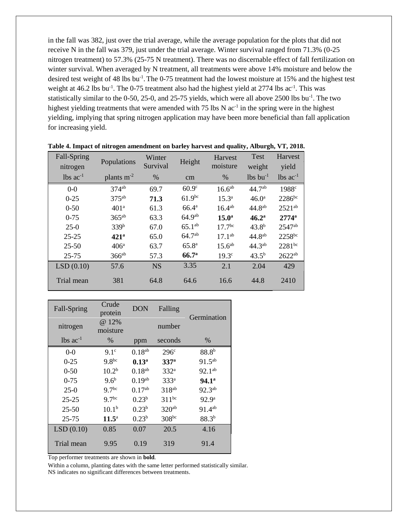in the fall was 382, just over the trial average, while the average population for the plots that did not receive N in the fall was 379, just under the trial average. Winter survival ranged from 71.3% (0-25 nitrogen treatment) to 57.3% (25-75 N treatment). There was no discernable effect of fall fertilization on winter survival. When averaged by N treatment, all treatments were above 14% moisture and below the desired test weight of 48 lbs bu<sup>-1</sup>. The 0-75 treatment had the lowest moisture at 15% and the highest test weight at  $46.2$  lbs bu<sup>-1</sup>. The 0-75 treatment also had the highest yield at 2774 lbs  $ac^{-1}$ . This was statistically similar to the 0-50, 25-0, and 25-75 yields, which were all above 2500 lbs bu<sup>-1</sup>. The two highest yielding treatments that were amended with  $75$  lbs N  $ac^{-1}$  in the spring were in the highest yielding, implying that spring nitrogen application may have been more beneficial than fall application for increasing yield.

| Fall-Spring<br>nitrogen | Populations      | Winter<br>Survival | Height              | Harvest<br>moisture | <b>Test</b><br>weight  | Harvest<br>yield               |
|-------------------------|------------------|--------------------|---------------------|---------------------|------------------------|--------------------------------|
| $lbs$ ac <sup>-1</sup>  | plants $m^{-2}$  | %                  | cm                  | $\%$                | $lbs$ bu <sup>-1</sup> | $\lambda$ lbs ac <sup>-1</sup> |
| $0-0$                   | $374^{ab}$       | 69.7               | 60.9 <sup>c</sup>   | 16.6 <sup>ab</sup>  | $44.7^{ab}$            | 1988 <sup>c</sup>              |
| $0 - 25$                | $375^{ab}$       | 71.3               | $61.9^{bc}$         | $15.3^{\circ}$      | 46.0 <sup>a</sup>      | 2286bc                         |
| $0 - 50$                | 401 <sup>a</sup> | 61.3               | $66.4^{\mathrm{a}}$ | $16.4^{ab}$         | 44.8 <sup>ab</sup>     | $2521^{ab}$                    |
| $0 - 75$                | $365^{ab}$       | 63.3               | 64.9 <sup>ab</sup>  | 15.0 <sup>a</sup>   | 46.2 <sup>a</sup>      | $2774^{\rm a}$                 |
| $25-0$                  | 339b             | 67.0               | $65.1^{ab}$         | $17.7^{bc}$         | $43.8^{b}$             | 2547ab                         |
| $25 - 25$               | 421 <sup>a</sup> | 65.0               | $64.7^{ab}$         | $17.1^{ab}$         | 44.8 <sup>ab</sup>     | 2258bc                         |
| $25 - 50$               | 406 <sup>a</sup> | 63.7               | $65.8^{a}$          | 15.6 <sup>ab</sup>  | $44.3^{ab}$            | $2281^{bc}$                    |
| $25 - 75$               | $366^{ab}$       | 57.3               | 66.7 <sup>a</sup>   | 19.3 <sup>c</sup>   | $43.5^{b}$             | $2622^{ab}$                    |
| LSD(0.10)               | 57.6             | <b>NS</b>          | 3.35                | 2.1                 | 2.04                   | 429                            |
| Trial mean              | 381              | 64.8               | 64.6                | 16.6                | 44.8                   | 2410                           |

**Table 4. Impact of nitrogen amendment on barley harvest and quality, Alburgh, VT, 2018.**

| Fall-Spring            | Crude<br>protein  | <b>DON</b><br>Falling |                   | Germination       |
|------------------------|-------------------|-----------------------|-------------------|-------------------|
| nitrogen               | @ 12%<br>moisture |                       | number            |                   |
| $lbs$ ac <sup>-1</sup> | $\%$              | ppm                   | seconds           | $\%$              |
| $0 - 0$                | 9.1 <sup>c</sup>  | $0.18^{ab}$           | 296 <sup>c</sup>  | $88.8^{b}$        |
| $0 - 25$               | $9.8^{bc}$        | $0.13^{\rm a}$        | 337 <sup>a</sup>  | $91.5^{ab}$       |
| $0 - 50$               | 10.2 <sup>b</sup> | $0.18^{ab}$           | 332 <sup>a</sup>  | 92.1ab            |
| $0 - 75$               | 9.6 <sup>b</sup>  | $0.19^{ab}$           | 333 <sup>a</sup>  | 94.1 <sup>a</sup> |
| $25-0$                 | 9.7 <sup>bc</sup> | 0.17 <sup>ab</sup>    | $318^{ab}$        | $92.3^{ab}$       |
| $25 - 25$              | 9.7 <sup>bc</sup> | 0.23 <sup>b</sup>     | $311^{bc}$        | 92.9 <sup>a</sup> |
| $25 - 50$              | 10.1 <sup>b</sup> | 0.23 <sup>b</sup>     | 320 <sup>ab</sup> | 91.4ab            |
| $25 - 75$              | $11.5^{\circ}$    | $0.23^{b}$            | $308^{bc}$        | $88.3^{b}$        |
| LSD(0.10)              | 0.85              | 0.07                  | 20.5              | 4.16              |
| Trial mean             | 9.95              | 0.19                  | 319               | 91.4              |

Top performer treatments are shown in **bold**.

Within a column, planting dates with the same letter performed statistically similar. NS indicates no significant differences between treatments.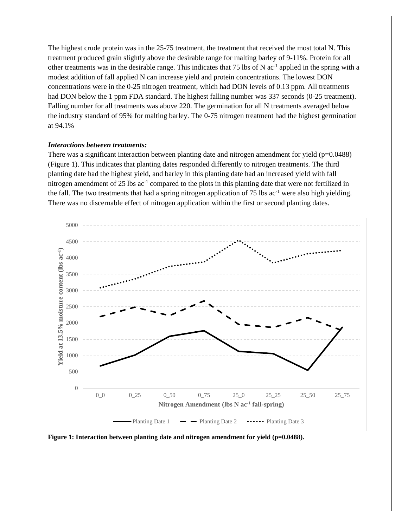The highest crude protein was in the 25-75 treatment, the treatment that received the most total N. This treatment produced grain slightly above the desirable range for malting barley of 9-11%. Protein for all other treatments was in the desirable range. This indicates that 75 lbs of N ac<sup>-1</sup> applied in the spring with a modest addition of fall applied N can increase yield and protein concentrations. The lowest DON concentrations were in the 0-25 nitrogen treatment, which had DON levels of 0.13 ppm. All treatments had DON below the 1 ppm FDA standard. The highest falling number was 337 seconds (0-25 treatment). Falling number for all treatments was above 220. The germination for all N treatments averaged below the industry standard of 95% for malting barley. The 0-75 nitrogen treatment had the highest germination at 94.1%

#### *Interactions between treatments:*

There was a significant interaction between planting date and nitrogen amendment for yield  $(p=0.0488)$ (Figure 1). This indicates that planting dates responded differently to nitrogen treatments. The third planting date had the highest yield, and barley in this planting date had an increased yield with fall nitrogen amendment of 25 lbs ac<sup>-1</sup> compared to the plots in this planting date that were not fertilized in the fall. The two treatments that had a spring nitrogen application of 75 lbs  $ac^{-1}$  were also high yielding. There was no discernable effect of nitrogen application within the first or second planting dates.



**Figure 1: Interaction between planting date and nitrogen amendment for yield (p=0.0488).**